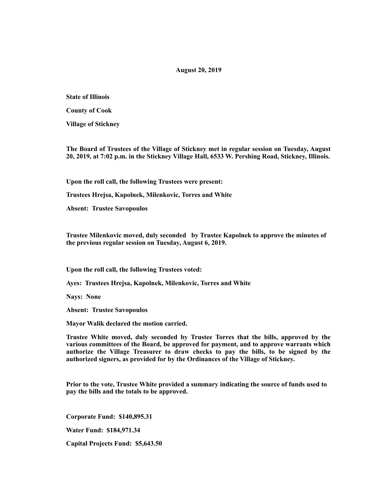# **August 20, 2019**

**State of Illinois** 

**County of Cook** 

**Village of Stickney** 

**The Board of Trustees of the Village of Stickney met in regular session on Tuesday, August 20, 2019, at 7:02 p.m. in the Stickney Village Hall, 6533 W. Pershing Road, Stickney, Illinois.** 

**Upon the roll call, the following Trustees were present:** 

**Trustees Hrejsa, Kapolnek, Milenkovic, Torres and White** 

**Absent: Trustee Savopoulos** 

**Trustee Milenkovic moved, duly seconded by Trustee Kapolnek to approve the minutes of the previous regular session on Tuesday, August 6, 2019.** 

**Upon the roll call, the following Trustees voted:** 

**Ayes: Trustees Hrejsa, Kapolnek, Milenkovic, Torres and White** 

**Nays: None** 

**Absent: Trustee Savopoulos** 

**Mayor Walik declared the motion carried.** 

**Trustee White moved, duly seconded by Trustee Torres that the bills, approved by the various committees of the Board, be approved for payment, and to approve warrants which authorize the Village Treasurer to draw checks to pay the bills, to be signed by the authorized signers, as provided for by the Ordinances of the Village of Stickney.** 

**Prior to the vote, Trustee White provided a summary indicating the source of funds used to pay the bills and the totals to be approved.** 

**Corporate Fund: \$140,895.31** 

**Water Fund: \$184,971.34** 

**Capital Projects Fund: \$5,643.50**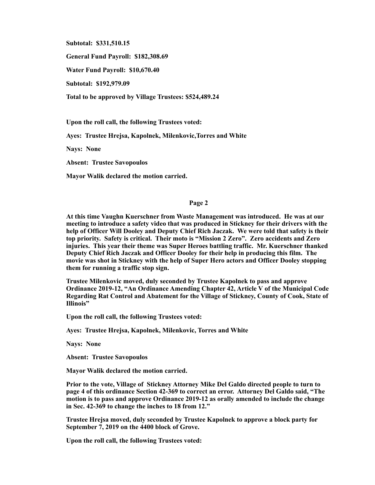**Subtotal: \$331,510.15** 

**General Fund Payroll: \$182,308.69** 

**Water Fund Payroll: \$10,670.40** 

**Subtotal: \$192,979.09** 

**Total to be approved by Village Trustees: \$524,489.24** 

**Upon the roll call, the following Trustees voted:** 

**Ayes: Trustee Hrejsa, Kapolnek, Milenkovic,Torres and White** 

**Nays: None** 

**Absent: Trustee Savopoulos** 

**Mayor Walik declared the motion carried.** 

### **Page 2**

**At this time Vaughn Kuerschner from Waste Management was introduced. He was at our meeting to introduce a safety video that was produced in Stickney for their drivers with the help of Officer Will Dooley and Deputy Chief Rich Jaczak. We were told that safety is their top priority. Safety is critical. Their moto is "Mission 2 Zero". Zero accidents and Zero injuries. This year their theme was Super Heroes battling traffic. Mr. Kuerschner thanked Deputy Chief Rich Jaczak and Officer Dooley for their help in producing this film. The movie was shot in Stickney with the help of Super Hero actors and Officer Dooley stopping them for running a traffic stop sign.** 

**Trustee Milenkovic moved, duly seconded by Trustee Kapolnek to pass and approve Ordinance 2019-12, "An Ordinance Amending Chapter 42, Article V of the Municipal Code Regarding Rat Control and Abatement for the Village of Stickney, County of Cook, State of Illinois"** 

**Upon the roll call, the following Trustees voted:** 

**Ayes: Trustee Hrejsa, Kapolnek, Milenkovic, Torres and White** 

**Nays: None** 

**Absent: Trustee Savopoulos** 

**Mayor Walik declared the motion carried.** 

**Prior to the vote, Village of Stickney Attorney Mike Del Galdo directed people to turn to page 4 of this ordinance Section 42-369 to correct an error. Attorney Del Galdo said, "The motion is to pass and approve Ordinance 2019-12 as orally amended to include the change in Sec. 42-369 to change the inches to 18 from 12."** 

**Trustee Hrejsa moved, duly seconded by Trustee Kapolnek to approve a block party for September 7, 2019 on the 4400 block of Grove.** 

**Upon the roll call, the following Trustees voted:**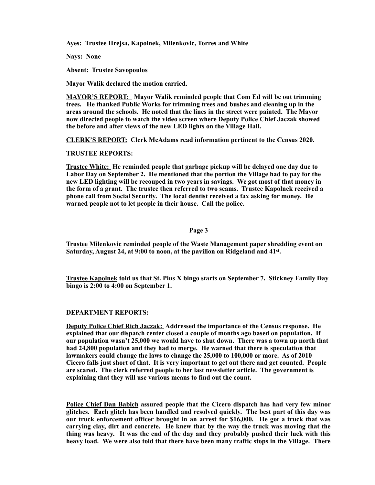**Ayes: Trustee Hrejsa, Kapolnek, Milenkovic, Torres and White** 

**Nays: None** 

**Absent: Trustee Savopoulos** 

**Mayor Walik declared the motion carried.** 

**MAYOR'S REPORT: Mayor Walik reminded people that Com Ed will be out trimming trees. He thanked Public Works for trimming trees and bushes and cleaning up in the areas around the schools. He noted that the lines in the street were painted. The Mayor now directed people to watch the video screen where Deputy Police Chief Jaczak showed the before and after views of the new LED lights on the Village Hall.** 

**CLERK'S REPORT: Clerk McAdams read information pertinent to the Census 2020.** 

## **TRUSTEE REPORTS:**

**Trustee White: He reminded people that garbage pickup will be delayed one day due to Labor Day on September 2. He mentioned that the portion the Village had to pay for the new LED lighting will be recouped in two years in savings. We got most of that money in the form of a grant. The trustee then referred to two scams. Trustee Kapolnek received a phone call from Social Security. The local dentist received a fax asking for money. He warned people not to let people in their house. Call the police.** 

# **Page 3**

**Trustee Milenkovic reminded people of the Waste Management paper shredding event on Saturday, August 24, at 9:00 to noon, at the pavilion on Ridgeland and 41st.** 

**Trustee Kapolnek told us that St. Pius X bingo starts on September 7. Stickney Family Day bingo is 2:00 to 4:00 on September 1.** 

#### **DEPARTMENT REPORTS:**

**Deputy Police Chief Rich Jaczak: Addressed the importance of the Census response. He explained that our dispatch center closed a couple of months ago based on population. If our population wasn't 25,000 we would have to shut down. There was a town up north that had 24,800 population and they had to merge. He warned that there is speculation that lawmakers could change the laws to change the 25,000 to 100,000 or more. As of 2010 Cicero falls just short of that. It is very important to get out there and get counted. People are scared. The clerk referred people to her last newsletter article. The government is explaining that they will use various means to find out the count.** 

**Police Chief Dan Babich assured people that the Cicero dispatch has had very few minor glitches. Each glitch has been handled and resolved quickly. The best part of this day was our truck enforcement officer brought in an arrest for \$16,000. He got a truck that was carrying clay, dirt and concrete. He knew that by the way the truck was moving that the thing was heavy. It was the end of the day and they probably pushed their luck with this heavy load. We were also told that there have been many traffic stops in the Village. There**